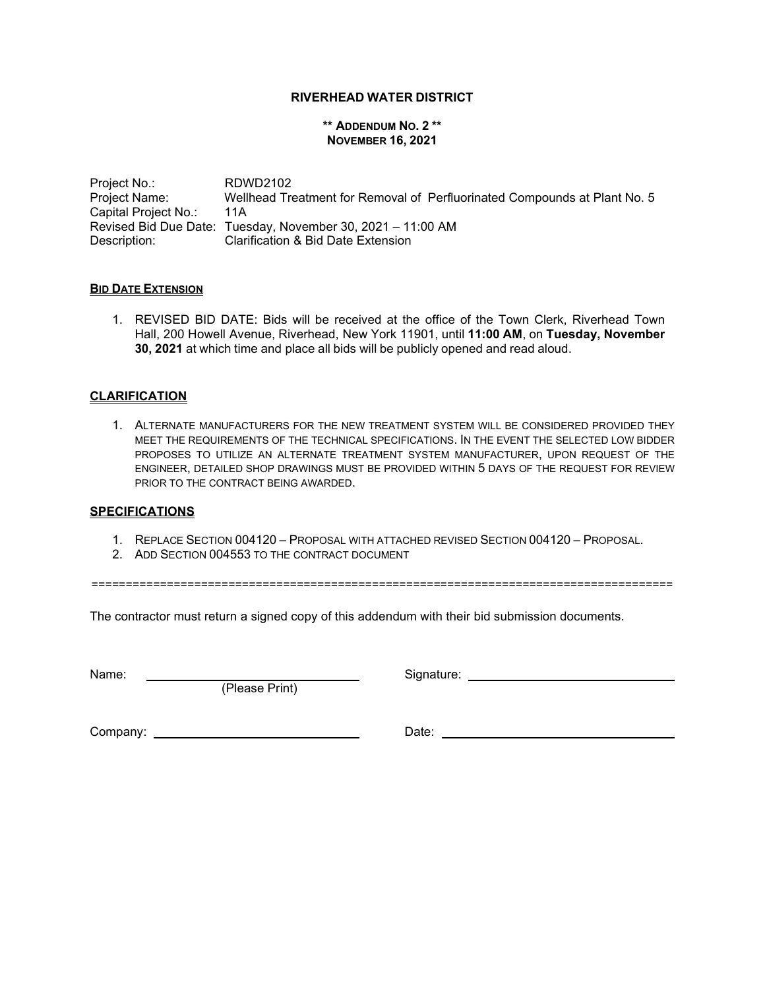## **RIVERHEAD WATER DISTRICT**

#### **\*\* ADDENDUM NO. 2 \*\* NOVEMBER 16, 2021**

Project No.: RDWD2102 Project Name: Capital Project No.: Wellhead Treatment for Removal of Perfluorinated Compounds at Plant No. 5 11A Revised Bid Due Date: Tuesday, November 30, 2021 – 11:00 AM Description: Clarification & Bid Date Extension

### **BID DATE EXTENSION**

1. REVISED BID DATE: Bids will be received at the office of the Town Clerk, Riverhead Town Hall, 200 Howell Avenue, Riverhead, New York 11901, until **11:00 AM**, on **Tuesday, November 30, 2021** at which time and place all bids will be publicly opened and read aloud.

# **CLARIFICATION**

1. ALTERNATE MANUFACTURERS FOR THE NEW TREATMENT SYSTEM WILL BE CONSIDERED PROVIDED THEY MEET THE REQUIREMENTS OF THE TECHNICAL SPECIFICATIONS. IN THE EVENT THE SELECTED LOW BIDDER PROPOSES TO UTILIZE AN ALTERNATE TREATMENT SYSTEM MANUFACTURER, UPON REQUEST OF THE ENGINEER, DETAILED SHOP DRAWINGS MUST BE PROVIDED WITHIN 5 DAYS OF THE REQUEST FOR REVIEW PRIOR TO THE CONTRACT BEING AWARDED.

### **SPECIFICATIONS**

- 1. REPLACE SECTION 004120 PROPOSAL WITH ATTACHED REVISED SECTION 004120 PROPOSAL.
- 2. ADD SECTION 004553 TO THE CONTRACT DOCUMENT

=====================================================================================

The contractor must return a signed copy of this addendum with their bid submission documents.

(Please Print)

Name: Signature:

Company: Date: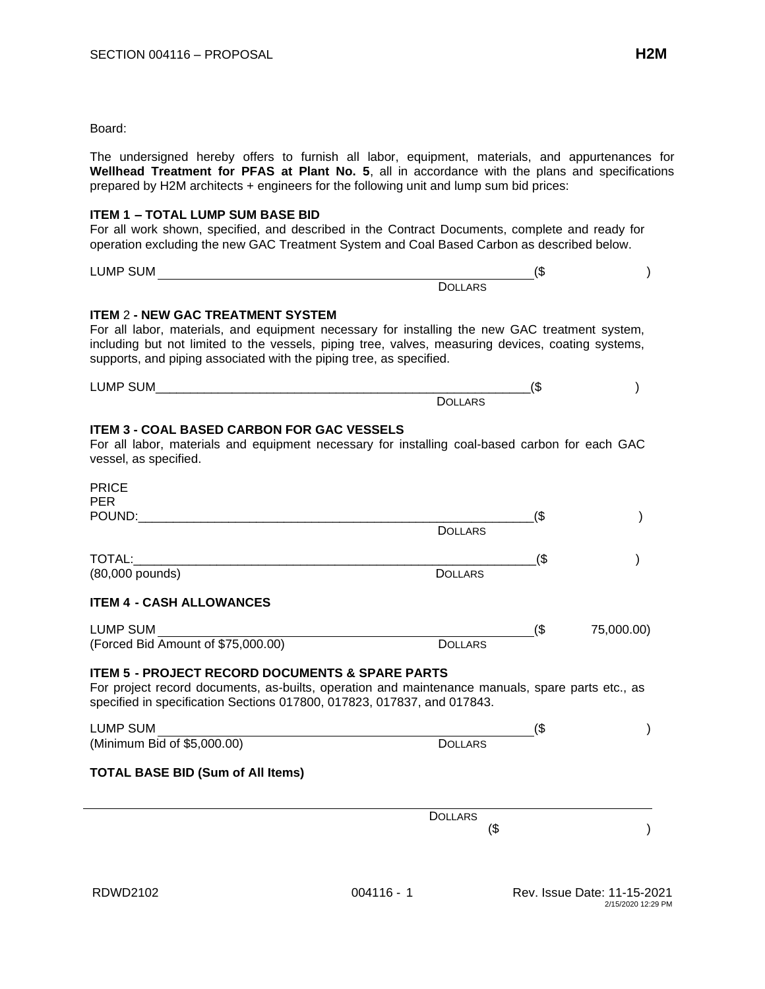#### Board:

The undersigned hereby offers to furnish all labor, equipment, materials, and appurtenances for **Wellhead Treatment for PFAS at Plant No. 5**, all in accordance with the plans and specifications prepared by H2M architects + engineers for the following unit and lump sum bid prices:

#### **ITEM 1 – TOTAL LUMP SUM BASE BID**

For all work shown, specified, and described in the Contract Documents, complete and ready for operation excluding the new GAC Treatment System and Coal Based Carbon as described below.

LUMP SUM (\$ ) **DOLLARS** 

# **ITEM** 2 **- NEW GAC TREATMENT SYSTEM**

For all labor, materials, and equipment necessary for installing the new GAC treatment system, including but not limited to the vessels, piping tree, valves, measuring devices, coating systems, supports, and piping associated with the piping tree, as specified.

| LUMF | æ<br>۰U |  |
|------|---------|--|
|      |         |  |

# **ITEM 3 - COAL BASED CARBON FOR GAC VESSELS**

For all labor, materials and equipment necessary for installing coal-based carbon for each GAC vessel, as specified.

| <b>PRICE</b><br><b>PER</b>                                                                                                                                                                                                                |                |        |            |
|-------------------------------------------------------------------------------------------------------------------------------------------------------------------------------------------------------------------------------------------|----------------|--------|------------|
| POUND:                                                                                                                                                                                                                                    | <b>DOLLARS</b> | $($ \$ |            |
| TOTAL:<br>(80,000 pounds)                                                                                                                                                                                                                 | <b>DOLLARS</b> | $($ \$ |            |
| <b>ITEM 4 - CASH ALLOWANCES</b>                                                                                                                                                                                                           |                |        |            |
| <b>LUMP SUM</b><br>(Forced Bid Amount of \$75,000.00)                                                                                                                                                                                     | <b>DOLLARS</b> | $($ \$ | 75,000.00) |
| <b>ITEM 5 - PROJECT RECORD DOCUMENTS &amp; SPARE PARTS</b><br>For project record documents, as-builts, operation and maintenance manuals, spare parts etc., as<br>specified in specification Sections 017800, 017823, 017837, and 017843. |                |        |            |
| LUMP SUM                                                                                                                                                                                                                                  |                | (\$    |            |
| (Minimum Bid of \$5,000.00)                                                                                                                                                                                                               | <b>DOLLARS</b> |        |            |
| <b>TOTAL BASE BID (Sum of All Items)</b>                                                                                                                                                                                                  |                |        |            |
|                                                                                                                                                                                                                                           | <b>DOLLARS</b> |        |            |
|                                                                                                                                                                                                                                           | (\$            |        |            |
|                                                                                                                                                                                                                                           |                |        |            |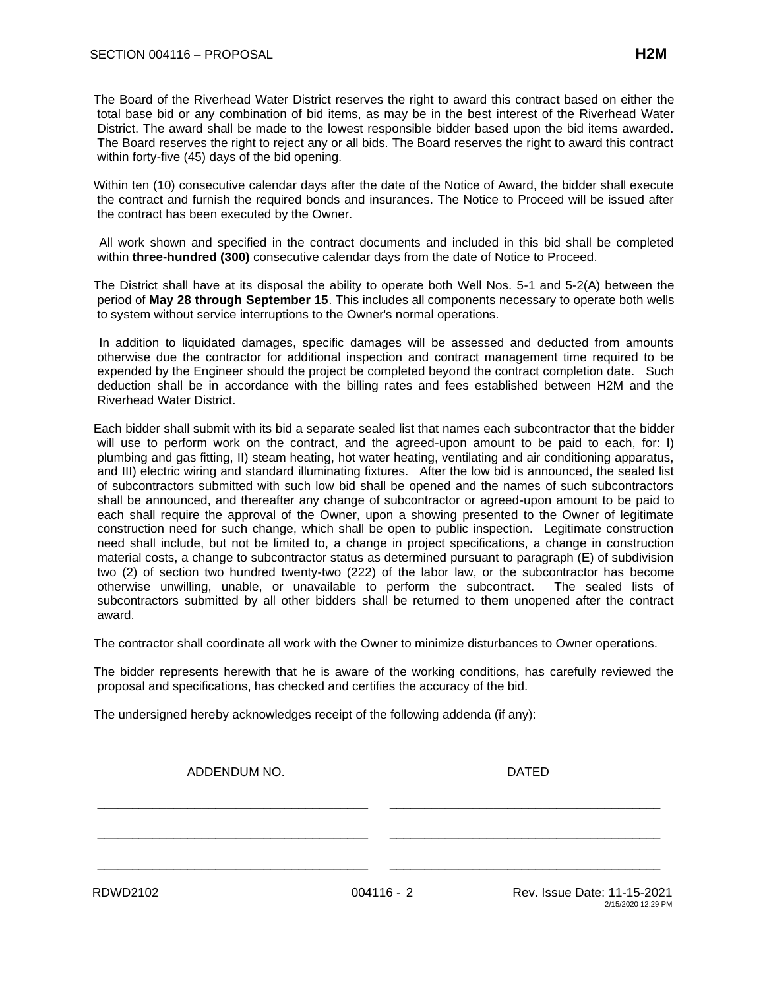The Board of the Riverhead Water District reserves the right to award this contract based on either the total base bid or any combination of bid items, as may be in the best interest of the Riverhead Water District. The award shall be made to the lowest responsible bidder based upon the bid items awarded. The Board reserves the right to reject any or all bids. The Board reserves the right to award this contract within forty-five (45) days of the bid opening.

Within ten (10) consecutive calendar days after the date of the Notice of Award, the bidder shall execute the contract and furnish the required bonds and insurances. The Notice to Proceed will be issued after the contract has been executed by the Owner.

All work shown and specified in the contract documents and included in this bid shall be completed within **three-hundred (300)** consecutive calendar days from the date of Notice to Proceed.

The District shall have at its disposal the ability to operate both Well Nos. 5-1 and 5-2(A) between the period of **May 28 through September 15**. This includes all components necessary to operate both wells to system without service interruptions to the Owner's normal operations.

In addition to liquidated damages, specific damages will be assessed and deducted from amounts otherwise due the contractor for additional inspection and contract management time required to be expended by the Engineer should the project be completed beyond the contract completion date. Such deduction shall be in accordance with the billing rates and fees established between H2M and the Riverhead Water District.

Each bidder shall submit with its bid a separate sealed list that names each subcontractor that the bidder will use to perform work on the contract, and the agreed-upon amount to be paid to each, for: I) plumbing and gas fitting, II) steam heating, hot water heating, ventilating and air conditioning apparatus, and III) electric wiring and standard illuminating fixtures. After the low bid is announced, the sealed list of subcontractors submitted with such low bid shall be opened and the names of such subcontractors shall be announced, and thereafter any change of subcontractor or agreed-upon amount to be paid to each shall require the approval of the Owner, upon a showing presented to the Owner of legitimate construction need for such change, which shall be open to public inspection. Legitimate construction need shall include, but not be limited to, a change in project specifications, a change in construction material costs, a change to subcontractor status as determined pursuant to paragraph (E) of subdivision two (2) of section two hundred twenty-two (222) of the labor law, or the subcontractor has become otherwise unwilling, unable, or unavailable to perform the subcontract. The sealed lists of subcontractors submitted by all other bidders shall be returned to them unopened after the contract award.

The contractor shall coordinate all work with the Owner to minimize disturbances to Owner operations.

The bidder represents herewith that he is aware of the working conditions, has carefully reviewed the proposal and specifications, has checked and certifies the accuracy of the bid.

The undersigned hereby acknowledges receipt of the following addenda (if any):

ADDENDUM NO. NORTH STATES AND ANN ANN ANN ANN AN DATED

\_\_\_\_\_\_\_\_\_\_\_\_\_\_\_\_\_\_\_\_\_\_\_\_\_\_\_\_\_\_\_\_\_\_\_\_\_\_\_ \_\_\_\_\_\_\_\_\_\_\_\_\_\_\_\_\_\_\_\_\_\_\_\_\_\_\_\_\_\_\_\_\_\_\_\_\_\_\_

\_\_\_\_\_\_\_\_\_\_\_\_\_\_\_\_\_\_\_\_\_\_\_\_\_\_\_\_\_\_\_\_\_\_\_\_\_\_\_ \_\_\_\_\_\_\_\_\_\_\_\_\_\_\_\_\_\_\_\_\_\_\_\_\_\_\_\_\_\_\_\_\_\_\_\_\_\_\_

\_\_\_\_\_\_\_\_\_\_\_\_\_\_\_\_\_\_\_\_\_\_\_\_\_\_\_\_\_\_\_\_\_\_\_\_\_\_\_ \_\_\_\_\_\_\_\_\_\_\_\_\_\_\_\_\_\_\_\_\_\_\_\_\_\_\_\_\_\_\_\_\_\_\_\_\_\_\_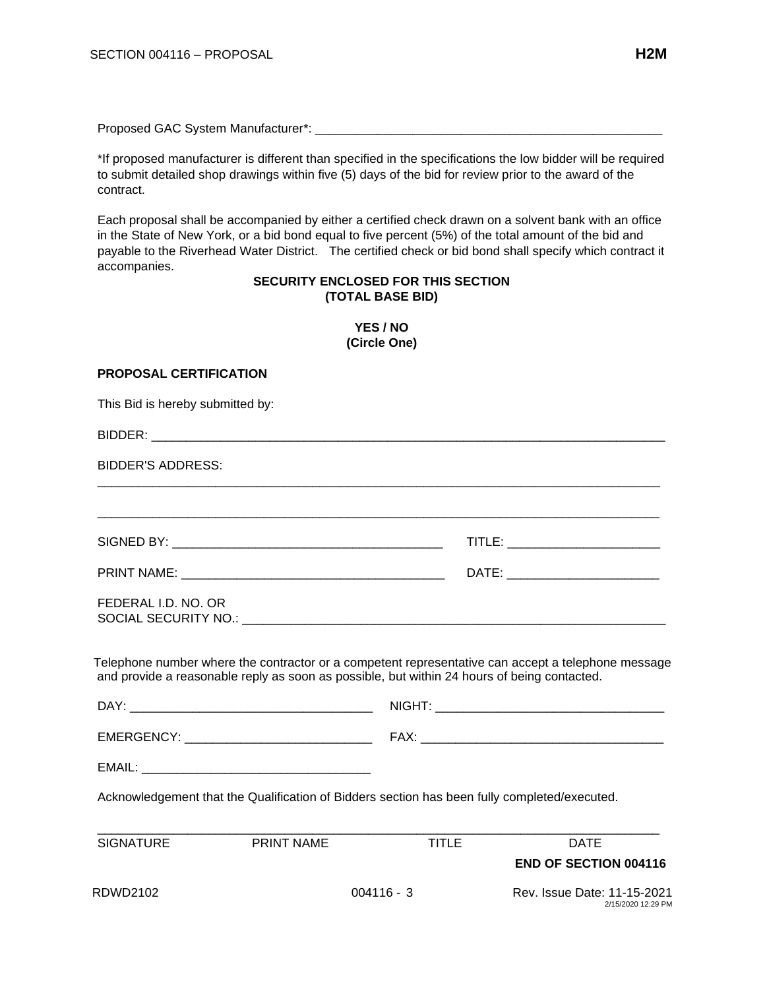Proposed GAC System Manufacturer\*: \_\_\_\_\_\_\_\_\_\_\_\_\_\_\_\_\_\_\_\_\_\_\_\_\_\_\_\_\_\_\_\_\_\_\_\_\_\_\_\_\_\_\_\_\_\_\_\_\_\_

\*If proposed manufacturer is different than specified in the specifications the low bidder will be required to submit detailed shop drawings within five (5) days of the bid for review prior to the award of the contract.

Each proposal shall be accompanied by either a certified check drawn on a solvent bank with an office in the State of New York, or a bid bond equal to five percent (5%) of the total amount of the bid and payable to the Riverhead Water District. The certified check or bid bond shall specify which contract it accompanies.

# **SECURITY ENCLOSED FOR THIS SECTION (TOTAL BASE BID)**

| YES / NO<br>(Circle One)         |                                                                                                                                                                                                   |  |  |
|----------------------------------|---------------------------------------------------------------------------------------------------------------------------------------------------------------------------------------------------|--|--|
| <b>PROPOSAL CERTIFICATION</b>    |                                                                                                                                                                                                   |  |  |
| This Bid is hereby submitted by: |                                                                                                                                                                                                   |  |  |
|                                  |                                                                                                                                                                                                   |  |  |
| BIDDER'S ADDRESS:                |                                                                                                                                                                                                   |  |  |
|                                  |                                                                                                                                                                                                   |  |  |
|                                  |                                                                                                                                                                                                   |  |  |
|                                  | DATE: __________________________                                                                                                                                                                  |  |  |
| FEDERAL I.D. NO. OR              |                                                                                                                                                                                                   |  |  |
|                                  | Telephone number where the contractor or a competent representative can accept a telephone message<br>and provide a reasonable reply as soon as possible, but within 24 hours of being contacted. |  |  |
|                                  |                                                                                                                                                                                                   |  |  |
|                                  |                                                                                                                                                                                                   |  |  |
| EMAIL:                           |                                                                                                                                                                                                   |  |  |

Acknowledgement that the Qualification of Bidders section has been fully completed/executed.

| SIGNATURE | PRINT NAME | TITLE        | <b>DATE</b>                                       |
|-----------|------------|--------------|---------------------------------------------------|
|           |            |              | <b>END OF SECTION 004116</b>                      |
| RDWD2102  |            | $004116 - 3$ | Rev. Issue Date: 11-15-2021<br>2/15/2020 12:29 PM |